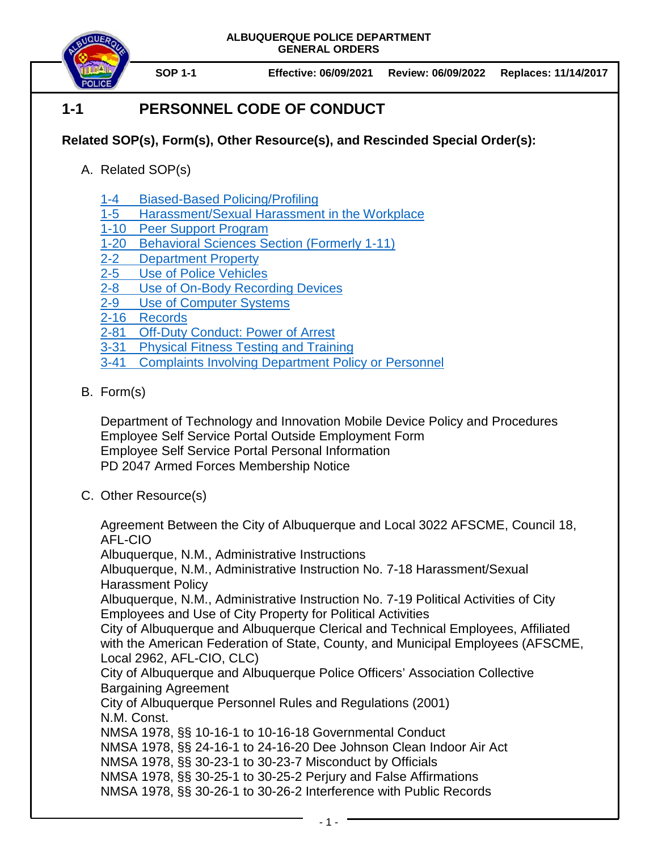

**SOP 1-1 Effective: 06/09/2021 Review: 06/09/2022 Replaces: 11/14/2017**

# **1-1 PERSONNEL CODE OF CONDUCT**

## **Related SOP(s), Form(s), Other Resource(s), and Rescinded Special Order(s):**

- A. Related SOP(s)
	- 1-4 [Biased-Based Policing/Profiling](https://powerdms.com/docs/14)
	- 1-5 [Harassment/Sexual Harassment in the Workplace](https://powerdms.com/docs/36)
	- 1-10 [Peer Support Program](https://powerdms.com/docs/759451)
	- 1-20 [Behavioral Sciences Section](https://powerdms.com/docs/38) (Formerly 1-11)
	- 2-2 [Department Property](https://powerdms.com/docs/2163372)
	- 2-5 [Use of Police Vehicles](https://powerdms.com/docs/43)
	- 2-8 [Use of On-Body Recording Devices](https://powerdms.com/docs/1137)
	- 2-9 [Use of Computer Systems](https://powerdms.com/docs/61)
	- 2-16 [Records](https://powerdms.com/docs/19)
	- 2-81 [Off-Duty Conduct: Power of Arrest](https://powerdms.com/docs/98)
	- 3-31 [Physical Fitness Testing and Training](https://powerdms.com/docs/224)
	- 3-41 Complaints [Involving Department Policy or Personnel](https://powerdms.com/docs/184)
- B. Form(s)

Department of Technology and Innovation Mobile Device Policy and Procedures Employee Self Service Portal Outside Employment Form Employee Self Service Portal Personal Information PD 2047 Armed Forces Membership Notice

C. Other Resource(s)

Agreement Between the City of Albuquerque and Local 3022 AFSCME, Council 18, AFL-CIO

Albuquerque, N.M., Administrative Instructions

Albuquerque, N.M., Administrative Instruction No. 7-18 Harassment/Sexual Harassment Policy

Albuquerque, N.M., Administrative Instruction No. 7-19 Political Activities of City Employees and Use of City Property for Political Activities

City of Albuquerque and Albuquerque Clerical and Technical Employees, Affiliated with the American Federation of State, County, and Municipal Employees (AFSCME, Local 2962, AFL-CIO, CLC)

City of Albuquerque and Albuquerque Police Officers' Association Collective Bargaining Agreement

City of Albuquerque Personnel Rules and Regulations (2001) N.M. Const. NMSA 1978, §§ 10-16-1 to 10-16-18 Governmental Conduct

NMSA 1978, §§ 24-16-1 to 24-16-20 Dee Johnson Clean Indoor Air Act

NMSA 1978, §§ 30-23-1 to 30-23-7 Misconduct by Officials

NMSA 1978, §§ 30-25-1 to 30-25-2 Perjury and False Affirmations

NMSA 1978, §§ 30-26-1 to 30-26-2 Interference with Public Records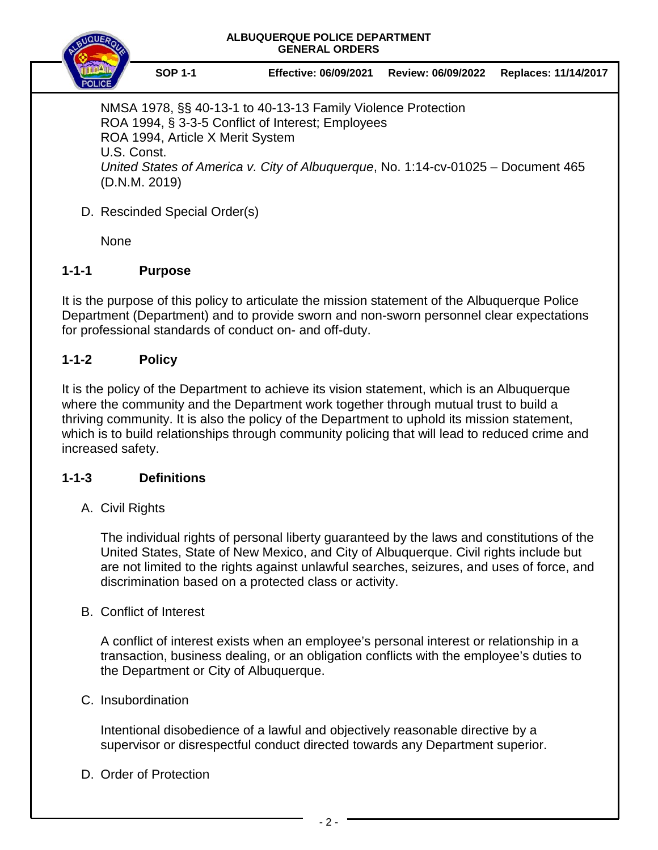

**SOP 1-1 Effective: 06/09/2021 Review: 06/09/2022 Replaces: 11/14/2017**

NMSA 1978, §§ 40-13-1 to 40-13-13 Family Violence Protection ROA 1994, § 3-3-5 Conflict of Interest; Employees ROA 1994, Article X Merit System U.S. Const. *United States of America v. City of Albuquerque*, No. 1:14-cv-01025 – Document 465 (D.N.M. 2019)

D. Rescinded Special Order(s)

**None** 

## **1-1-1 Purpose**

It is the purpose of this policy to articulate the mission statement of the Albuquerque Police Department (Department) and to provide sworn and non-sworn personnel clear expectations for professional standards of conduct on- and off-duty.

## **1-1-2 Policy**

It is the policy of the Department to achieve its vision statement, which is an Albuquerque where the community and the Department work together through mutual trust to build a thriving community. It is also the policy of the Department to uphold its mission statement, which is to build relationships through community policing that will lead to reduced crime and increased safety.

## **1-1-3 Definitions**

## A. Civil Rights

The individual rights of personal liberty guaranteed by the laws and constitutions of the United States, State of New Mexico, and City of Albuquerque. Civil rights include but are not limited to the rights against unlawful searches, seizures, and uses of force, and discrimination based on a protected class or activity.

## B. Conflict of Interest

A conflict of interest exists when an employee's personal interest or relationship in a transaction, business dealing, or an obligation conflicts with the employee's duties to the Department or City of Albuquerque.

### C. Insubordination

Intentional disobedience of a lawful and objectively reasonable directive by a supervisor or disrespectful conduct directed towards any Department superior.

D. Order of Protection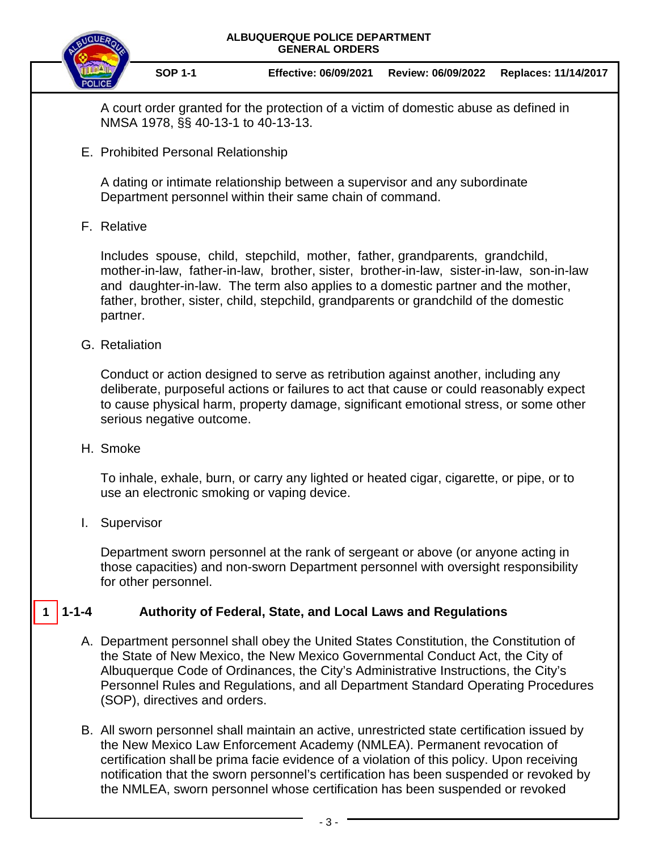

**SOP 1-1 Effective: 06/09/2021 Review: 06/09/2022 Replaces: 11/14/2017**

A court order granted for the protection of a victim of domestic abuse as defined in NMSA 1978, §§ 40-13-1 to 40-13-13.

E. Prohibited Personal Relationship

A dating or intimate relationship between a supervisor and any subordinate Department personnel within their same chain of command.

F. Relative

Includes spouse, child, stepchild, mother, father, grandparents, grandchild, mother-in-law, father-in-law, brother, sister, brother-in-law, sister-in-law, son-in-law and daughter-in-law. The term also applies to a domestic partner and the mother, father, brother, sister, child, stepchild, grandparents or grandchild of the domestic partner.

G. Retaliation

Conduct or action designed to serve as retribution against another, including any deliberate, purposeful actions or failures to act that cause or could reasonably expect to cause physical harm, property damage, significant emotional stress, or some other serious negative outcome.

H. Smoke

To inhale, exhale, burn, or carry any lighted or heated cigar, cigarette, or pipe, or to use an electronic smoking or vaping device.

I. Supervisor

Department sworn personnel at the rank of sergeant or above (or anyone acting in those capacities) and non-sworn Department personnel with oversight responsibility for other personnel.

#### **1-1-4 Authority of Federal, State, and Local Laws and Regulations 1**

- A. Department personnel shall obey the United States Constitution, the Constitution of the State of New Mexico, the New Mexico Governmental Conduct Act, the City of Albuquerque Code of Ordinances, the City's Administrative Instructions, the City's Personnel Rules and Regulations, and all Department Standard Operating Procedures (SOP), directives and orders.
- B. All sworn personnel shall maintain an active, unrestricted state certification issued by the New Mexico Law Enforcement Academy (NMLEA). Permanent revocation of certification shall be prima facie evidence of a violation of this policy. Upon receiving notification that the sworn personnel's certification has been suspended or revoked by the NMLEA, sworn personnel whose certification has been suspended or revoked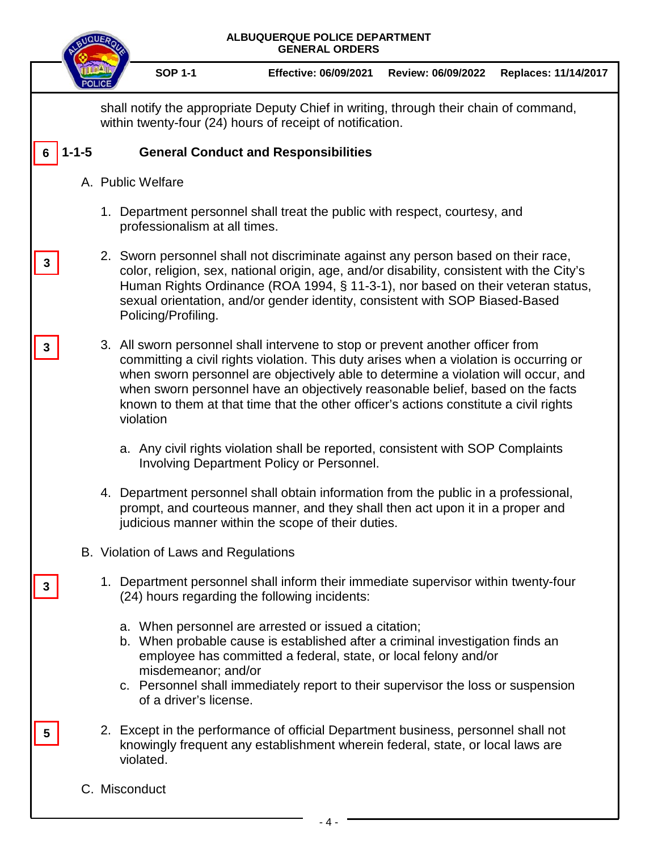|   | ALBUQUERQUE POLICE DEPARTMENT<br><b>GENERAL ORDERS</b> |                                                                                                                                                                                                                                                                                                                                                                                                                                                        |  |  |  |  |
|---|--------------------------------------------------------|--------------------------------------------------------------------------------------------------------------------------------------------------------------------------------------------------------------------------------------------------------------------------------------------------------------------------------------------------------------------------------------------------------------------------------------------------------|--|--|--|--|
|   |                                                        | <b>SOP 1-1</b><br><b>Effective: 06/09/2021</b><br>Review: 06/09/2022<br>Replaces: 11/14/2017                                                                                                                                                                                                                                                                                                                                                           |  |  |  |  |
|   |                                                        | shall notify the appropriate Deputy Chief in writing, through their chain of command,<br>within twenty-four (24) hours of receipt of notification.                                                                                                                                                                                                                                                                                                     |  |  |  |  |
|   | -1-5                                                   | <b>General Conduct and Responsibilities</b>                                                                                                                                                                                                                                                                                                                                                                                                            |  |  |  |  |
|   |                                                        | A. Public Welfare                                                                                                                                                                                                                                                                                                                                                                                                                                      |  |  |  |  |
|   |                                                        | 1. Department personnel shall treat the public with respect, courtesy, and<br>professionalism at all times.                                                                                                                                                                                                                                                                                                                                            |  |  |  |  |
| 3 |                                                        | 2. Sworn personnel shall not discriminate against any person based on their race,<br>color, religion, sex, national origin, age, and/or disability, consistent with the City's<br>Human Rights Ordinance (ROA 1994, § 11-3-1), nor based on their veteran status,<br>sexual orientation, and/or gender identity, consistent with SOP Biased-Based<br>Policing/Profiling.                                                                               |  |  |  |  |
| 3 |                                                        | 3. All sworn personnel shall intervene to stop or prevent another officer from<br>committing a civil rights violation. This duty arises when a violation is occurring or<br>when sworn personnel are objectively able to determine a violation will occur, and<br>when sworn personnel have an objectively reasonable belief, based on the facts<br>known to them at that time that the other officer's actions constitute a civil rights<br>violation |  |  |  |  |
|   |                                                        | a. Any civil rights violation shall be reported, consistent with SOP Complaints<br><b>Involving Department Policy or Personnel.</b>                                                                                                                                                                                                                                                                                                                    |  |  |  |  |
|   |                                                        | 4. Department personnel shall obtain information from the public in a professional,<br>prompt, and courteous manner, and they shall then act upon it in a proper and<br>judicious manner within the scope of their duties.                                                                                                                                                                                                                             |  |  |  |  |
|   |                                                        | B. Violation of Laws and Regulations                                                                                                                                                                                                                                                                                                                                                                                                                   |  |  |  |  |
|   |                                                        | 1. Department personnel shall inform their immediate supervisor within twenty-four<br>(24) hours regarding the following incidents:                                                                                                                                                                                                                                                                                                                    |  |  |  |  |
|   |                                                        | a. When personnel are arrested or issued a citation;<br>b. When probable cause is established after a criminal investigation finds an<br>employee has committed a federal, state, or local felony and/or<br>misdemeanor; and/or<br>c. Personnel shall immediately report to their supervisor the loss or suspension<br>of a driver's license.                                                                                                          |  |  |  |  |
| 5 |                                                        | 2. Except in the performance of official Department business, personnel shall not<br>knowingly frequent any establishment wherein federal, state, or local laws are<br>violated.                                                                                                                                                                                                                                                                       |  |  |  |  |
|   |                                                        | C. Misconduct                                                                                                                                                                                                                                                                                                                                                                                                                                          |  |  |  |  |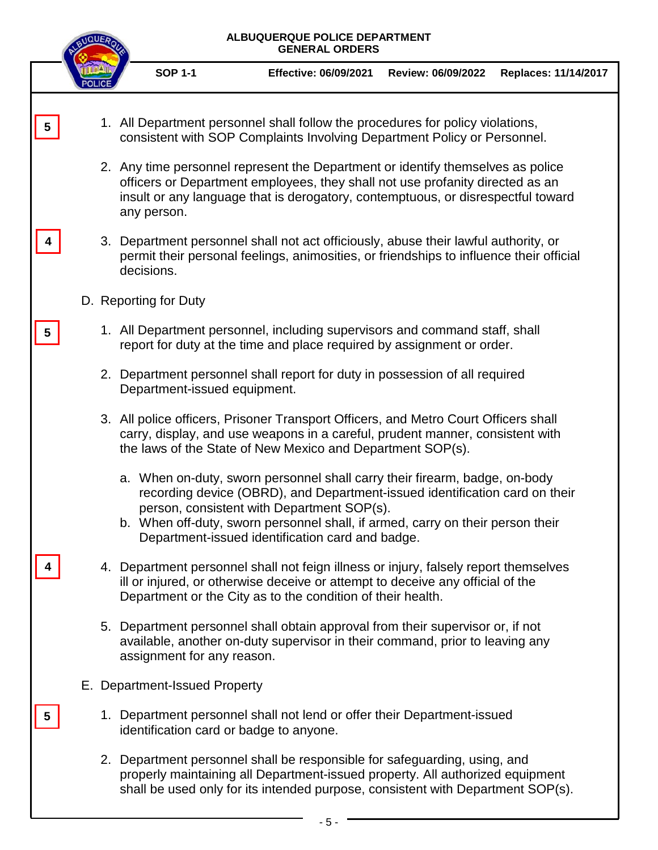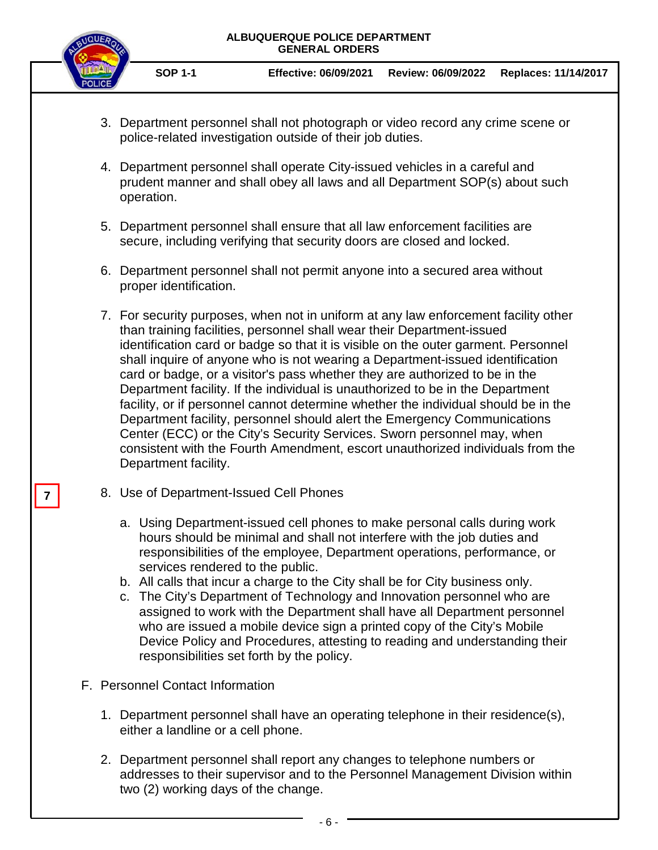

**SOP 1-1 Effective: 06/09/2021 Review: 06/09/2022 Replaces: 11/14/2017**

- 3. Department personnel shall not photograph or video record any crime scene or police-related investigation outside of their job duties.
- 4. Department personnel shall operate City-issued vehicles in a careful and prudent manner and shall obey all laws and all Department SOP(s) about such operation.
- 5. Department personnel shall ensure that all law enforcement facilities are secure, including verifying that security doors are closed and locked.
- 6. Department personnel shall not permit anyone into a secured area without proper identification.
- 7. For security purposes, when not in uniform at any law enforcement facility other than training facilities, personnel shall wear their Department-issued identification card or badge so that it is visible on the outer garment. Personnel shall inquire of anyone who is not wearing a Department-issued identification card or badge, or a visitor's pass whether they are authorized to be in the Department facility. If the individual is unauthorized to be in the Department facility, or if personnel cannot determine whether the individual should be in the Department facility, personnel should alert the Emergency Communications Center (ECC) or the City's Security Services. Sworn personnel may, when consistent with the Fourth Amendment, escort unauthorized individuals from the Department facility.
- 8. Use of Department-Issued Cell Phones
	- a. Using Department-issued cell phones to make personal calls during work hours should be minimal and shall not interfere with the job duties and responsibilities of the employee, Department operations, performance, or services rendered to the public.
	- b. All calls that incur a charge to the City shall be for City business only.
	- c. The City's Department of Technology and Innovation personnel who are assigned to work with the Department shall have all Department personnel who are issued a mobile device sign a printed copy of the City's Mobile Device Policy and Procedures, attesting to reading and understanding their responsibilities set forth by the policy.
- F. Personnel Contact Information
	- 1. Department personnel shall have an operating telephone in their residence(s), either a landline or a cell phone.
	- 2. Department personnel shall report any changes to telephone numbers or addresses to their supervisor and to the Personnel Management Division within two (2) working days of the change.

**7**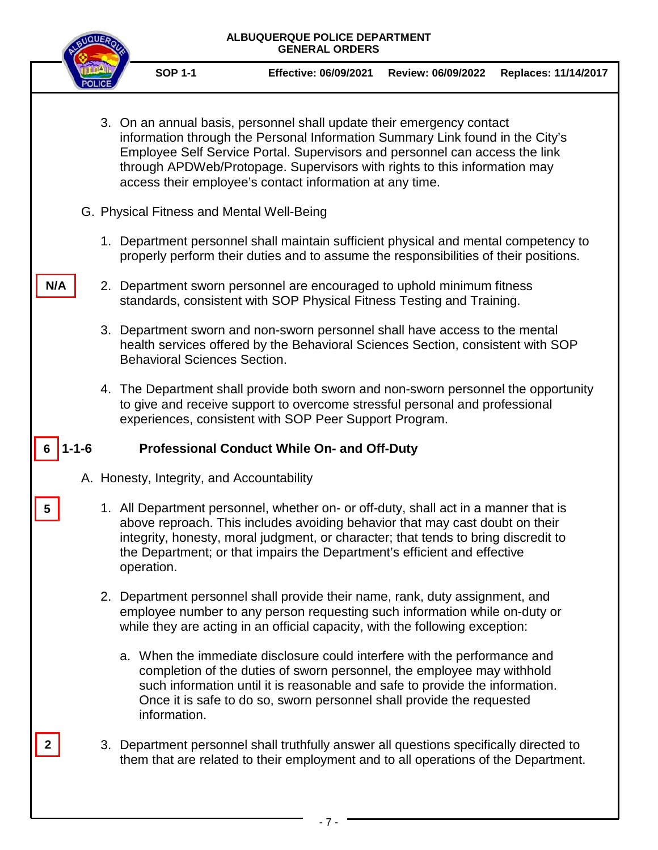

**SOP 1-1 Effective: 06/09/2021 Review: 06/09/2022 Replaces: 11/14/2017**

- 3. On an annual basis, personnel shall update their emergency contact information through the Personal Information Summary Link found in the City's Employee Self Service Portal. Supervisors and personnel can access the link through APDWeb/Protopage. Supervisors with rights to this information may access their employee's contact information at any time.
- G. Physical Fitness and Mental Well-Being
	- 1. Department personnel shall maintain sufficient physical and mental competency to properly perform their duties and to assume the responsibilities of their positions.
- 2. Department sworn personnel are encouraged to uphold minimum fitness standards, consistent with SOP Physical Fitness Testing and Training.
	- 3. Department sworn and non-sworn personnel shall have access to the mental health services offered by the Behavioral Sciences Section, consistent with SOP Behavioral Sciences Section.
	- 4. The Department shall provide both sworn and non-sworn personnel the opportunity to give and receive support to overcome stressful personal and professional experiences, consistent with SOP Peer Support Program.

#### **Professional Conduct While On- and Off-Duty 6**

A. Honesty, Integrity, and Accountability

**5**

**N/A**

**2**

- 1. All Department personnel, whether on- or off-duty, shall act in a manner that is above reproach. This includes avoiding behavior that may cast doubt on their integrity, honesty, moral judgment, or character; that tends to bring discredit to the Department; or that impairs the Department's efficient and effective operation.
- 2. Department personnel shall provide their name, rank, duty assignment, and employee number to any person requesting such information while on-duty or while they are acting in an official capacity, with the following exception:
	- a. When the immediate disclosure could interfere with the performance and completion of the duties of sworn personnel, the employee may withhold such information until it is reasonable and safe to provide the information. Once it is safe to do so, sworn personnel shall provide the requested information.
- 3. Department personnel shall truthfully answer all questions specifically directed to them that are related to their employment and to all operations of the Department.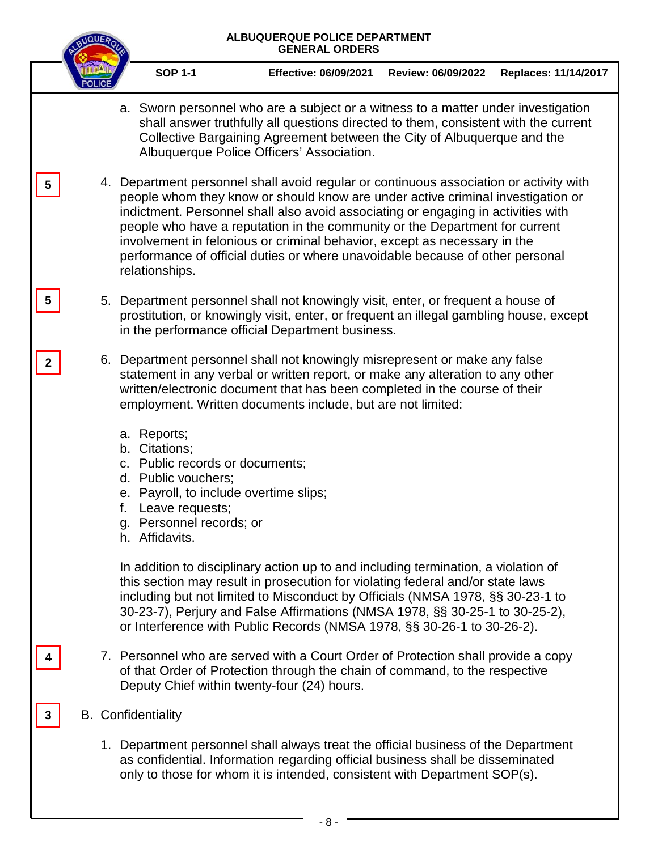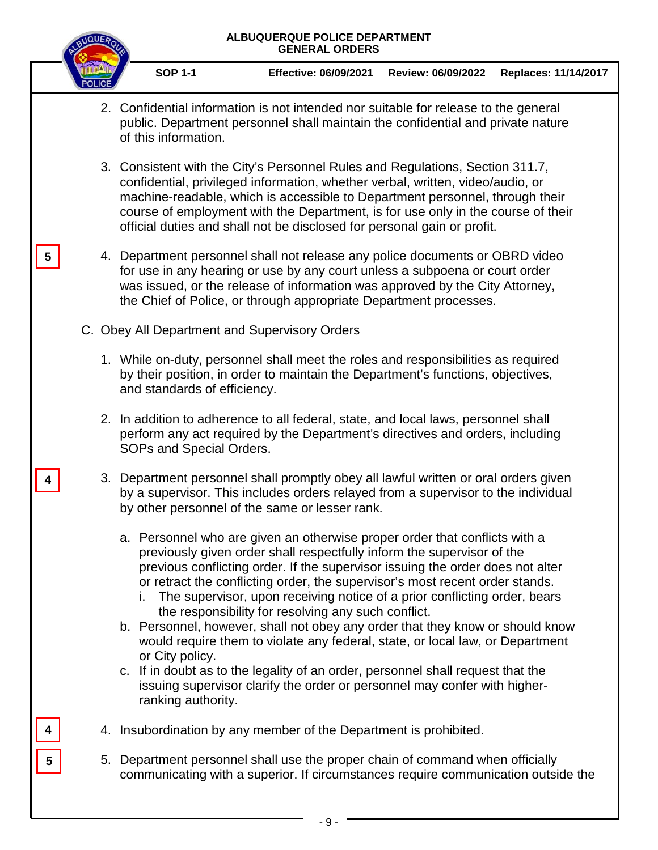|                 | <b>NQUE</b> | ALBUQUERQUE POLICE DEPARTMENT<br><b>GENERAL ORDERS</b> |                                                                                                                                                                                                                                                                                                                                                                                                                                                                                                                                                                                                                                                                                                                                                                                                 |                    |                      |  |
|-----------------|-------------|--------------------------------------------------------|-------------------------------------------------------------------------------------------------------------------------------------------------------------------------------------------------------------------------------------------------------------------------------------------------------------------------------------------------------------------------------------------------------------------------------------------------------------------------------------------------------------------------------------------------------------------------------------------------------------------------------------------------------------------------------------------------------------------------------------------------------------------------------------------------|--------------------|----------------------|--|
|                 |             | <b>SOP 1-1</b>                                         | <b>Effective: 06/09/2021</b>                                                                                                                                                                                                                                                                                                                                                                                                                                                                                                                                                                                                                                                                                                                                                                    | Review: 06/09/2022 | Replaces: 11/14/2017 |  |
|                 |             | of this information.                                   | 2. Confidential information is not intended nor suitable for release to the general<br>public. Department personnel shall maintain the confidential and private nature                                                                                                                                                                                                                                                                                                                                                                                                                                                                                                                                                                                                                          |                    |                      |  |
|                 |             |                                                        | 3. Consistent with the City's Personnel Rules and Regulations, Section 311.7,<br>confidential, privileged information, whether verbal, written, video/audio, or<br>machine-readable, which is accessible to Department personnel, through their<br>course of employment with the Department, is for use only in the course of their<br>official duties and shall not be disclosed for personal gain or profit.                                                                                                                                                                                                                                                                                                                                                                                  |                    |                      |  |
| 5               |             |                                                        | 4. Department personnel shall not release any police documents or OBRD video<br>for use in any hearing or use by any court unless a subpoena or court order<br>was issued, or the release of information was approved by the City Attorney,<br>the Chief of Police, or through appropriate Department processes.                                                                                                                                                                                                                                                                                                                                                                                                                                                                                |                    |                      |  |
|                 |             |                                                        | C. Obey All Department and Supervisory Orders                                                                                                                                                                                                                                                                                                                                                                                                                                                                                                                                                                                                                                                                                                                                                   |                    |                      |  |
|                 |             | and standards of efficiency.                           | 1. While on-duty, personnel shall meet the roles and responsibilities as required<br>by their position, in order to maintain the Department's functions, objectives,                                                                                                                                                                                                                                                                                                                                                                                                                                                                                                                                                                                                                            |                    |                      |  |
|                 |             | SOPs and Special Orders.                               | 2. In addition to adherence to all federal, state, and local laws, personnel shall<br>perform any act required by the Department's directives and orders, including                                                                                                                                                                                                                                                                                                                                                                                                                                                                                                                                                                                                                             |                    |                      |  |
|                 |             |                                                        | 3. Department personnel shall promptly obey all lawful written or oral orders given<br>by a supervisor. This includes orders relayed from a supervisor to the individual<br>by other personnel of the same or lesser rank.                                                                                                                                                                                                                                                                                                                                                                                                                                                                                                                                                                      |                    |                      |  |
|                 |             | or City policy.<br>ranking authority.                  | a. Personnel who are given an otherwise proper order that conflicts with a<br>previously given order shall respectfully inform the supervisor of the<br>previous conflicting order. If the supervisor issuing the order does not alter<br>or retract the conflicting order, the supervisor's most recent order stands.<br>i. The supervisor, upon receiving notice of a prior conflicting order, bears<br>the responsibility for resolving any such conflict.<br>b. Personnel, however, shall not obey any order that they know or should know<br>would require them to violate any federal, state, or local law, or Department<br>c. If in doubt as to the legality of an order, personnel shall request that the<br>issuing supervisor clarify the order or personnel may confer with higher- |                    |                      |  |
|                 |             |                                                        | 4. Insubordination by any member of the Department is prohibited.                                                                                                                                                                                                                                                                                                                                                                                                                                                                                                                                                                                                                                                                                                                               |                    |                      |  |
| $5\phantom{.0}$ |             |                                                        | 5. Department personnel shall use the proper chain of command when officially<br>communicating with a superior. If circumstances require communication outside the                                                                                                                                                                                                                                                                                                                                                                                                                                                                                                                                                                                                                              |                    |                      |  |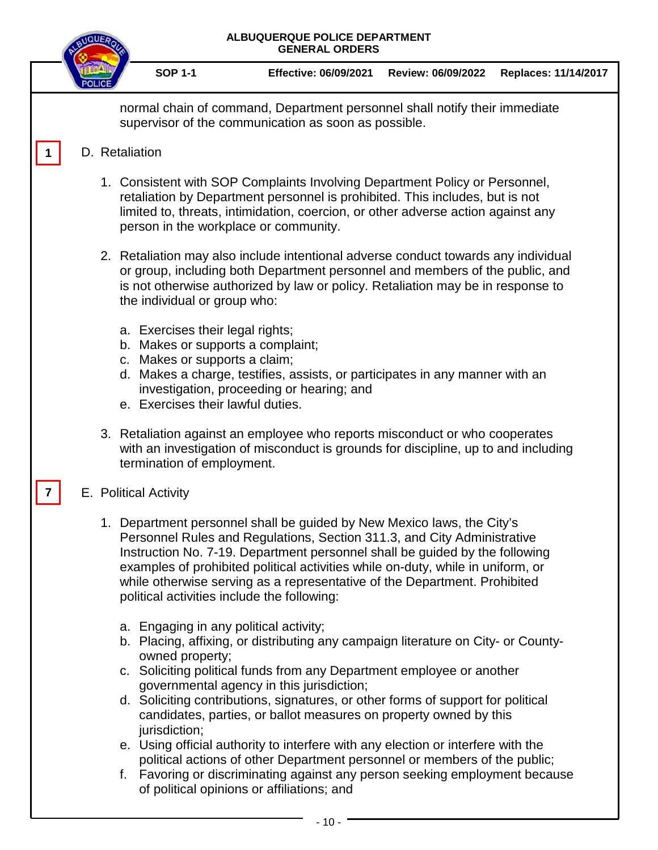|  |                                                                                                                                             | ALBUQUERQUE POLICE DEPARTMENT<br><b>GENERAL ORDERS</b>                                                                                                                                                                                                                                                                                                                                           |                    |                      |
|--|---------------------------------------------------------------------------------------------------------------------------------------------|--------------------------------------------------------------------------------------------------------------------------------------------------------------------------------------------------------------------------------------------------------------------------------------------------------------------------------------------------------------------------------------------------|--------------------|----------------------|
|  | <b>SOP 1-1</b>                                                                                                                              | <b>Effective: 06/09/2021</b>                                                                                                                                                                                                                                                                                                                                                                     | Review: 06/09/2022 | Replaces: 11/14/2017 |
|  |                                                                                                                                             | normal chain of command, Department personnel shall notify their immediate<br>supervisor of the communication as soon as possible.                                                                                                                                                                                                                                                               |                    |                      |
|  | D. Retaliation                                                                                                                              |                                                                                                                                                                                                                                                                                                                                                                                                  |                    |                      |
|  |                                                                                                                                             | 1. Consistent with SOP Complaints Involving Department Policy or Personnel,<br>retaliation by Department personnel is prohibited. This includes, but is not<br>limited to, threats, intimidation, coercion, or other adverse action against any<br>person in the workplace or community.                                                                                                         |                    |                      |
|  | the individual or group who:                                                                                                                | 2. Retaliation may also include intentional adverse conduct towards any individual<br>or group, including both Department personnel and members of the public, and<br>is not otherwise authorized by law or policy. Retaliation may be in response to                                                                                                                                            |                    |                      |
|  | a. Exercises their legal rights;<br>b. Makes or supports a complaint;<br>c. Makes or supports a claim;<br>e. Exercises their lawful duties. | d. Makes a charge, testifies, assists, or participates in any manner with an<br>investigation, proceeding or hearing; and                                                                                                                                                                                                                                                                        |                    |                      |
|  | termination of employment.                                                                                                                  | 3. Retaliation against an employee who reports misconduct or who cooperates<br>with an investigation of misconduct is grounds for discipline, up to and including                                                                                                                                                                                                                                |                    |                      |
|  | E. Political Activity                                                                                                                       |                                                                                                                                                                                                                                                                                                                                                                                                  |                    |                      |
|  | political activities include the following:                                                                                                 | 1. Department personnel shall be guided by New Mexico laws, the City's<br>Personnel Rules and Regulations, Section 311.3, and City Administrative<br>Instruction No. 7-19. Department personnel shall be guided by the following<br>examples of prohibited political activities while on-duty, while in uniform, or<br>while otherwise serving as a representative of the Department. Prohibited |                    |                      |
|  | a. Engaging in any political activity;<br>owned property;                                                                                   | b. Placing, affixing, or distributing any campaign literature on City- or County-<br>c. Soliciting political funds from any Department employee or another<br>governmental agency in this jurisdiction;<br>d. Soliciting contributions, signatures, or other forms of support for political<br>candidates, parties, or ballot measures on property owned by this                                 |                    |                      |
|  | jurisdiction;                                                                                                                               | e. Using official authority to interfere with any election or interfere with the<br>political actions of other Department personnel or members of the public;<br>f. Favoring or discriminating against any person seeking employment because<br>of political opinions or affiliations; and                                                                                                       |                    |                      |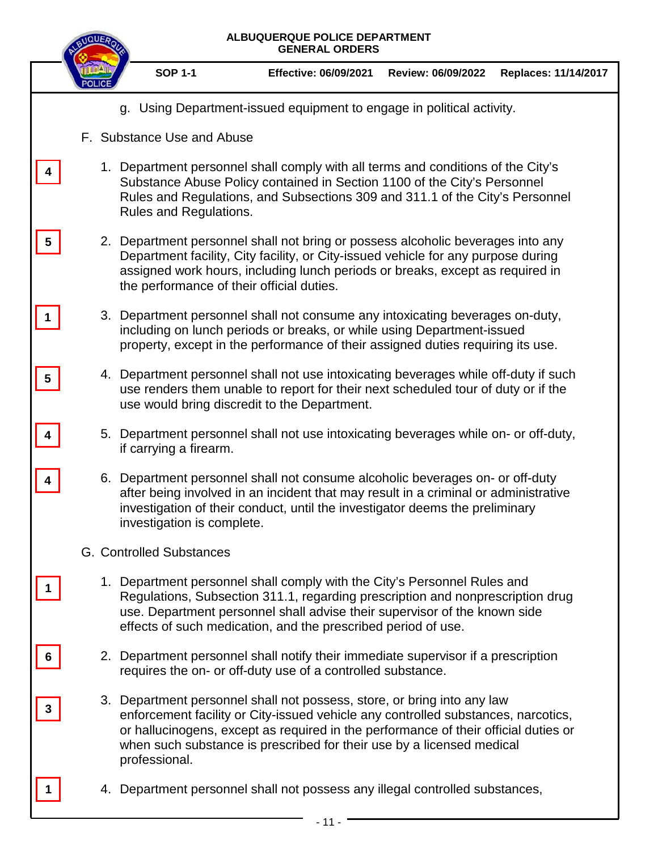|   | QUE | ALBUQUERQUE POLICE DEPARTMENT<br><b>GENERAL ORDERS</b> |                                                                                                                                                                                                                                                                                                                              |                    |                      |  |  |
|---|-----|--------------------------------------------------------|------------------------------------------------------------------------------------------------------------------------------------------------------------------------------------------------------------------------------------------------------------------------------------------------------------------------------|--------------------|----------------------|--|--|
|   |     | <b>SOP 1-1</b>                                         | <b>Effective: 06/09/2021</b>                                                                                                                                                                                                                                                                                                 | Review: 06/09/2022 | Replaces: 11/14/2017 |  |  |
|   |     |                                                        | g. Using Department-issued equipment to engage in political activity.                                                                                                                                                                                                                                                        |                    |                      |  |  |
|   |     | F. Substance Use and Abuse                             |                                                                                                                                                                                                                                                                                                                              |                    |                      |  |  |
|   |     | Rules and Regulations.                                 | 1. Department personnel shall comply with all terms and conditions of the City's<br>Substance Abuse Policy contained in Section 1100 of the City's Personnel<br>Rules and Regulations, and Subsections 309 and 311.1 of the City's Personnel                                                                                 |                    |                      |  |  |
| 5 |     | the performance of their official duties.              | 2. Department personnel shall not bring or possess alcoholic beverages into any<br>Department facility, City facility, or City-issued vehicle for any purpose during<br>assigned work hours, including lunch periods or breaks, except as required in                                                                        |                    |                      |  |  |
|   |     |                                                        | 3. Department personnel shall not consume any intoxicating beverages on-duty,<br>including on lunch periods or breaks, or while using Department-issued<br>property, except in the performance of their assigned duties requiring its use.                                                                                   |                    |                      |  |  |
| 5 |     |                                                        | 4. Department personnel shall not use intoxicating beverages while off-duty if such<br>use renders them unable to report for their next scheduled tour of duty or if the<br>use would bring discredit to the Department.                                                                                                     |                    |                      |  |  |
|   |     | if carrying a firearm.                                 | 5. Department personnel shall not use intoxicating beverages while on- or off-duty,                                                                                                                                                                                                                                          |                    |                      |  |  |
|   |     | investigation is complete.                             | 6. Department personnel shall not consume alcoholic beverages on- or off-duty<br>after being involved in an incident that may result in a criminal or administrative<br>investigation of their conduct, until the investigator deems the preliminary                                                                         |                    |                      |  |  |
|   |     | G. Controlled Substances                               |                                                                                                                                                                                                                                                                                                                              |                    |                      |  |  |
|   |     |                                                        | 1. Department personnel shall comply with the City's Personnel Rules and<br>Regulations, Subsection 311.1, regarding prescription and nonprescription drug<br>use. Department personnel shall advise their supervisor of the known side<br>effects of such medication, and the prescribed period of use.                     |                    |                      |  |  |
| o |     |                                                        | 2. Department personnel shall notify their immediate supervisor if a prescription<br>requires the on- or off-duty use of a controlled substance.                                                                                                                                                                             |                    |                      |  |  |
|   |     | professional.                                          | 3. Department personnel shall not possess, store, or bring into any law<br>enforcement facility or City-issued vehicle any controlled substances, narcotics,<br>or hallucinogens, except as required in the performance of their official duties or<br>when such substance is prescribed for their use by a licensed medical |                    |                      |  |  |
|   |     |                                                        | 4. Department personnel shall not possess any illegal controlled substances,                                                                                                                                                                                                                                                 |                    |                      |  |  |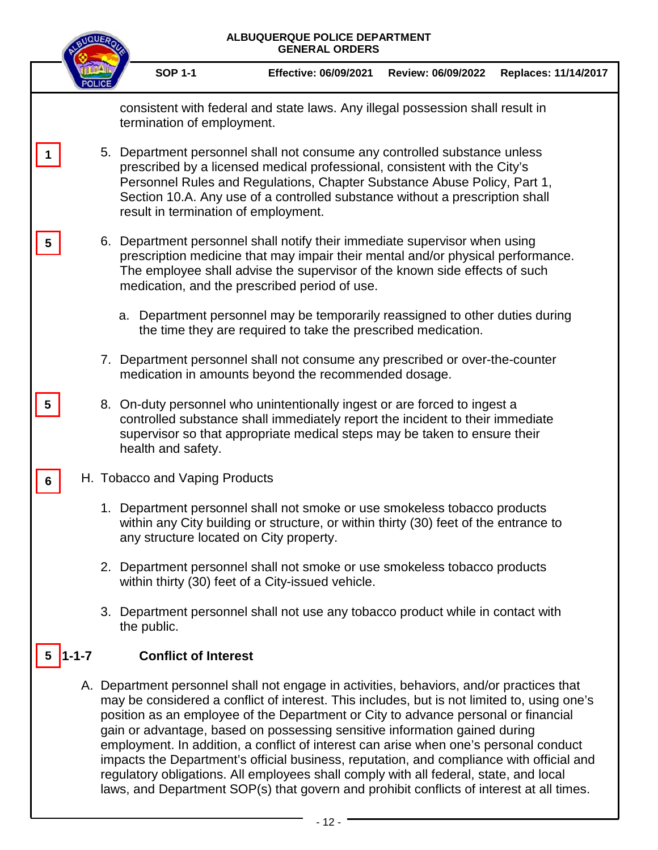|   |             | ALBUQUERQUE POLICE DEPARTMENT<br><b>GENERAL ORDERS</b> |                                      |                                                                                                                                                                                                                                                                                                                                                                                                                                                                                                                                                                                                                                                                                                                                       |                    |                      |  |
|---|-------------|--------------------------------------------------------|--------------------------------------|---------------------------------------------------------------------------------------------------------------------------------------------------------------------------------------------------------------------------------------------------------------------------------------------------------------------------------------------------------------------------------------------------------------------------------------------------------------------------------------------------------------------------------------------------------------------------------------------------------------------------------------------------------------------------------------------------------------------------------------|--------------------|----------------------|--|
|   |             |                                                        | <b>SOP 1-1</b>                       | <b>Effective: 06/09/2021</b>                                                                                                                                                                                                                                                                                                                                                                                                                                                                                                                                                                                                                                                                                                          | Review: 06/09/2022 | Replaces: 11/14/2017 |  |
|   |             |                                                        | termination of employment.           | consistent with federal and state laws. Any illegal possession shall result in                                                                                                                                                                                                                                                                                                                                                                                                                                                                                                                                                                                                                                                        |                    |                      |  |
|   |             |                                                        | result in termination of employment. | 5. Department personnel shall not consume any controlled substance unless<br>prescribed by a licensed medical professional, consistent with the City's<br>Personnel Rules and Regulations, Chapter Substance Abuse Policy, Part 1,<br>Section 10.A. Any use of a controlled substance without a prescription shall                                                                                                                                                                                                                                                                                                                                                                                                                    |                    |                      |  |
| 5 |             |                                                        |                                      | 6. Department personnel shall notify their immediate supervisor when using<br>prescription medicine that may impair their mental and/or physical performance.<br>The employee shall advise the supervisor of the known side effects of such<br>medication, and the prescribed period of use.                                                                                                                                                                                                                                                                                                                                                                                                                                          |                    |                      |  |
|   |             |                                                        |                                      | a. Department personnel may be temporarily reassigned to other duties during<br>the time they are required to take the prescribed medication.                                                                                                                                                                                                                                                                                                                                                                                                                                                                                                                                                                                         |                    |                      |  |
|   |             |                                                        |                                      | 7. Department personnel shall not consume any prescribed or over-the-counter<br>medication in amounts beyond the recommended dosage.                                                                                                                                                                                                                                                                                                                                                                                                                                                                                                                                                                                                  |                    |                      |  |
| 5 |             |                                                        | health and safety.                   | 8. On-duty personnel who unintentionally ingest or are forced to ingest a<br>controlled substance shall immediately report the incident to their immediate<br>supervisor so that appropriate medical steps may be taken to ensure their                                                                                                                                                                                                                                                                                                                                                                                                                                                                                               |                    |                      |  |
| 6 |             |                                                        | H. Tobacco and Vaping Products       |                                                                                                                                                                                                                                                                                                                                                                                                                                                                                                                                                                                                                                                                                                                                       |                    |                      |  |
|   |             |                                                        |                                      | 1. Department personnel shall not smoke or use smokeless tobacco products<br>within any City building or structure, or within thirty (30) feet of the entrance to<br>any structure located on City property.                                                                                                                                                                                                                                                                                                                                                                                                                                                                                                                          |                    |                      |  |
|   |             |                                                        |                                      | 2. Department personnel shall not smoke or use smokeless tobacco products<br>within thirty (30) feet of a City-issued vehicle.                                                                                                                                                                                                                                                                                                                                                                                                                                                                                                                                                                                                        |                    |                      |  |
|   |             |                                                        | the public.                          | 3. Department personnel shall not use any tobacco product while in contact with                                                                                                                                                                                                                                                                                                                                                                                                                                                                                                                                                                                                                                                       |                    |                      |  |
|   | $1 - 1 - 7$ |                                                        | <b>Conflict of Interest</b>          |                                                                                                                                                                                                                                                                                                                                                                                                                                                                                                                                                                                                                                                                                                                                       |                    |                      |  |
|   |             |                                                        |                                      | A. Department personnel shall not engage in activities, behaviors, and/or practices that<br>may be considered a conflict of interest. This includes, but is not limited to, using one's<br>position as an employee of the Department or City to advance personal or financial<br>gain or advantage, based on possessing sensitive information gained during<br>employment. In addition, a conflict of interest can arise when one's personal conduct<br>impacts the Department's official business, reputation, and compliance with official and<br>regulatory obligations. All employees shall comply with all federal, state, and local<br>laws, and Department SOP(s) that govern and prohibit conflicts of interest at all times. |                    |                      |  |

<u> 1980 - Johann Barbara, martx</u>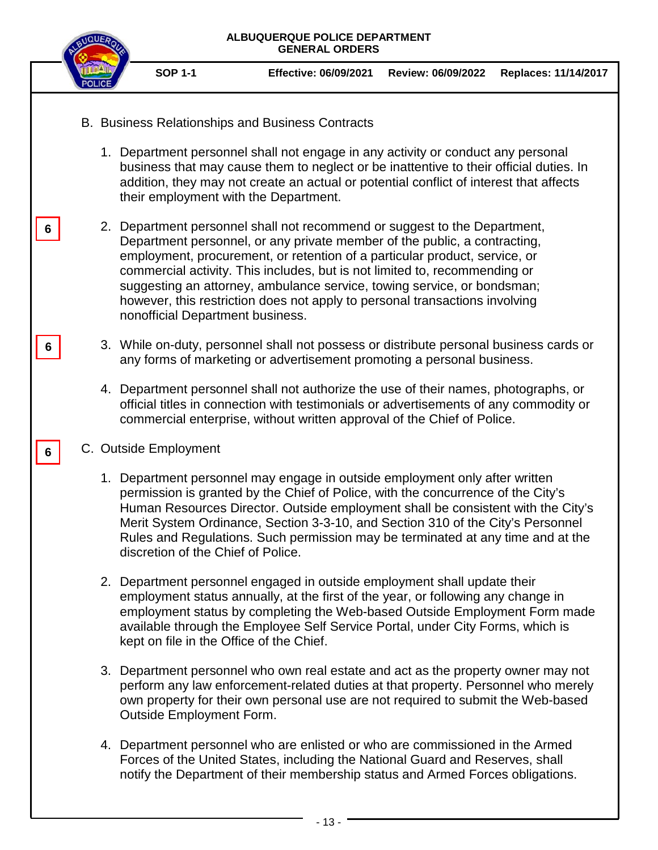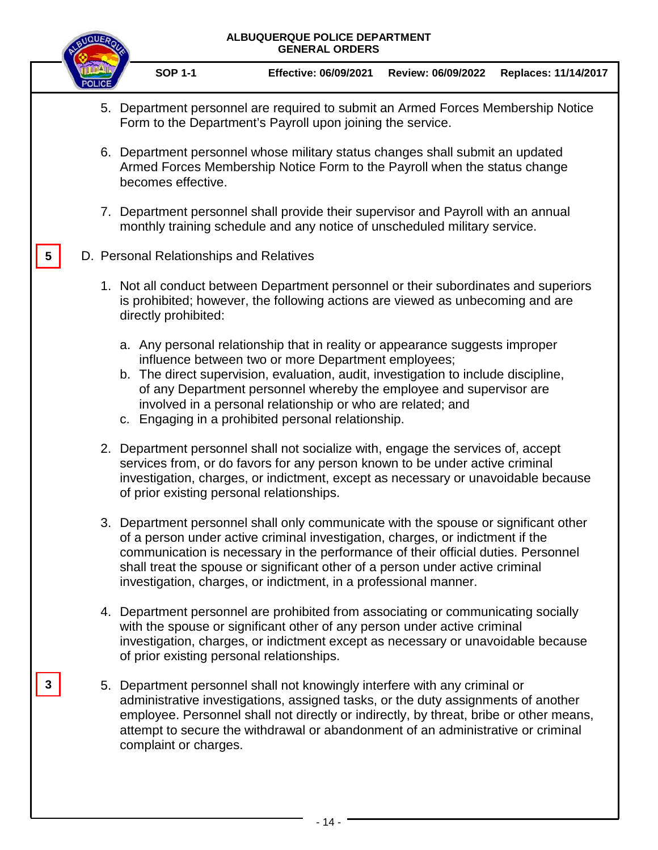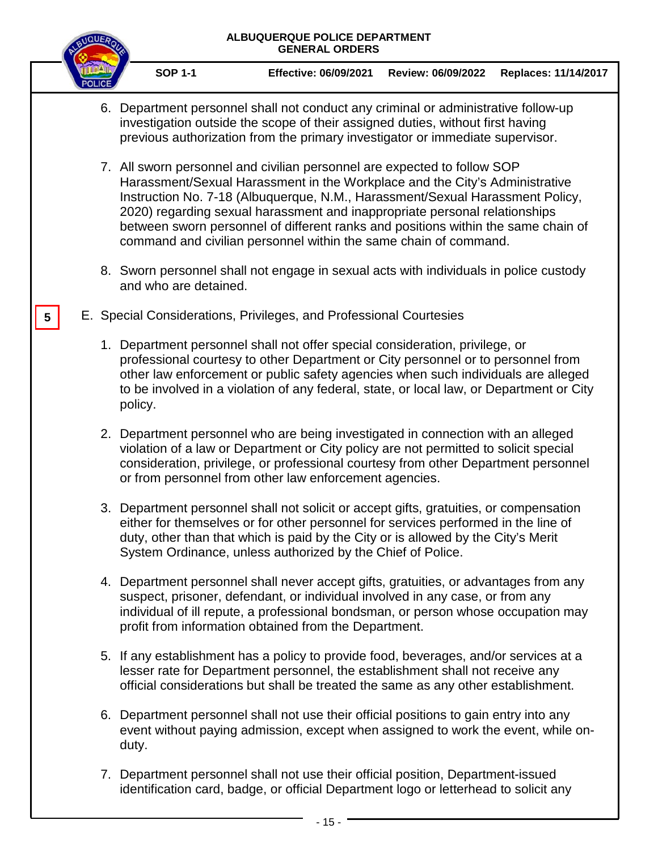

**5**

**SOP 1-1 Effective: 06/09/2021 Review: 06/09/2022 Replaces: 11/14/2017**

- 6. Department personnel shall not conduct any criminal or administrative follow-up investigation outside the scope of their assigned duties, without first having previous authorization from the primary investigator or immediate supervisor.
- 7. All sworn personnel and civilian personnel are expected to follow SOP Harassment/Sexual Harassment in the Workplace and the City's Administrative Instruction No. 7-18 (Albuquerque, N.M., Harassment/Sexual Harassment Policy, 2020) regarding sexual harassment and inappropriate personal relationships between sworn personnel of different ranks and positions within the same chain of command and civilian personnel within the same chain of command.
- 8. Sworn personnel shall not engage in sexual acts with individuals in police custody and who are detained.
- E. Special Considerations, Privileges, and Professional Courtesies
	- 1. Department personnel shall not offer special consideration, privilege, or professional courtesy to other Department or City personnel or to personnel from other law enforcement or public safety agencies when such individuals are alleged to be involved in a violation of any federal, state, or local law, or Department or City policy.
	- 2. Department personnel who are being investigated in connection with an alleged violation of a law or Department or City policy are not permitted to solicit special consideration, privilege, or professional courtesy from other Department personnel or from personnel from other law enforcement agencies.
	- 3. Department personnel shall not solicit or accept gifts, gratuities, or compensation either for themselves or for other personnel for services performed in the line of duty, other than that which is paid by the City or is allowed by the [City's](http://library.amlegal.com/nxt/gateway.dll/New%20Mexico/albuqwin/cityofalbuquerquenewmexicocodeofordinanc?f=templates$fn=default.htm$3.0$vid=amlegal:albuquerque_nm_mc) Merit [System Ordinance,](http://library.amlegal.com/nxt/gateway.dll/New%20Mexico/albuqwin/cityofalbuquerquenewmexicocodeofordinanc?f=templates$fn=default.htm$3.0$vid=amlegal:albuquerque_nm_mc) unless authorized by the Chief of Police.
	- 4. Department personnel shall never accept gifts, gratuities, or advantages from any suspect, prisoner, defendant, or individual involved in any case, or from any individual of ill repute, a professional bondsman, or person whose occupation may profit from information obtained from the Department.
	- 5. If any establishment has a policy to provide food, beverages, and/or services at a lesser rate for Department personnel, the establishment shall not receive any official considerations but shall be treated the same as any other establishment.
	- 6. Department personnel shall not use their official positions to gain entry into any event without paying admission, except when assigned to work the event, while onduty.
	- 7. Department personnel shall not use their official position, Department-issued identification card, badge, or official Department logo or letterhead to solicit any